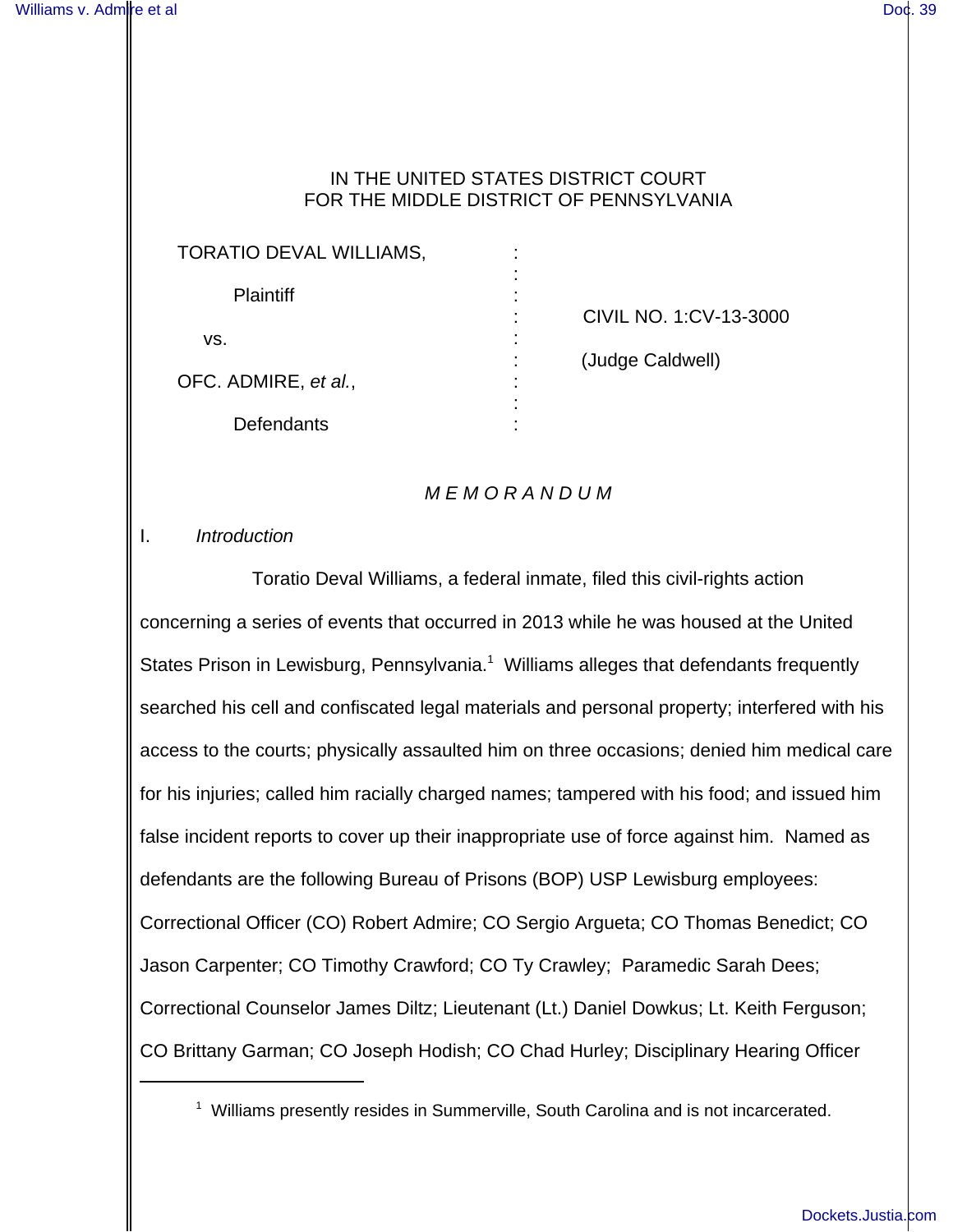### IN THE UNITED STATES DISTRICT COURT FOR THE MIDDLE DISTRICT OF PENNSYLVANIA

| TORATIO DEVAL WILLIAMS, | ۰<br>٠                 |
|-------------------------|------------------------|
| <b>Plaintiff</b>        |                        |
|                         | CIVIL NO. 1:CV-13-3000 |
| VS.                     | (Judge Caldwell)       |
| OFC. ADMIRE, et al.,    |                        |
| Defendants              |                        |

### M E M O R A N D U M

#### I. Introduction

Toratio Deval Williams, a federal inmate, filed this civil-rights action concerning a series of events that occurred in 2013 while he was housed at the United States Prison in Lewisburg, Pennsylvania.<sup>1</sup> Williams alleges that defendants frequently searched his cell and confiscated legal materials and personal property; interfered with his access to the courts; physically assaulted him on three occasions; denied him medical care for his injuries; called him racially charged names; tampered with his food; and issued him false incident reports to cover up their inappropriate use of force against him. Named as defendants are the following Bureau of Prisons (BOP) USP Lewisburg employees: Correctional Officer (CO) Robert Admire; CO Sergio Argueta; CO Thomas Benedict; CO Jason Carpenter; CO Timothy Crawford; CO Ty Crawley; Paramedic Sarah Dees; Correctional Counselor James Diltz; Lieutenant (Lt.) Daniel Dowkus; Lt. Keith Ferguson; CO Brittany Garman; CO Joseph Hodish; CO Chad Hurley; Disciplinary Hearing Officer

<sup>&</sup>lt;sup>1</sup> Williams presently resides in Summerville, South Carolina and is not incarcerated.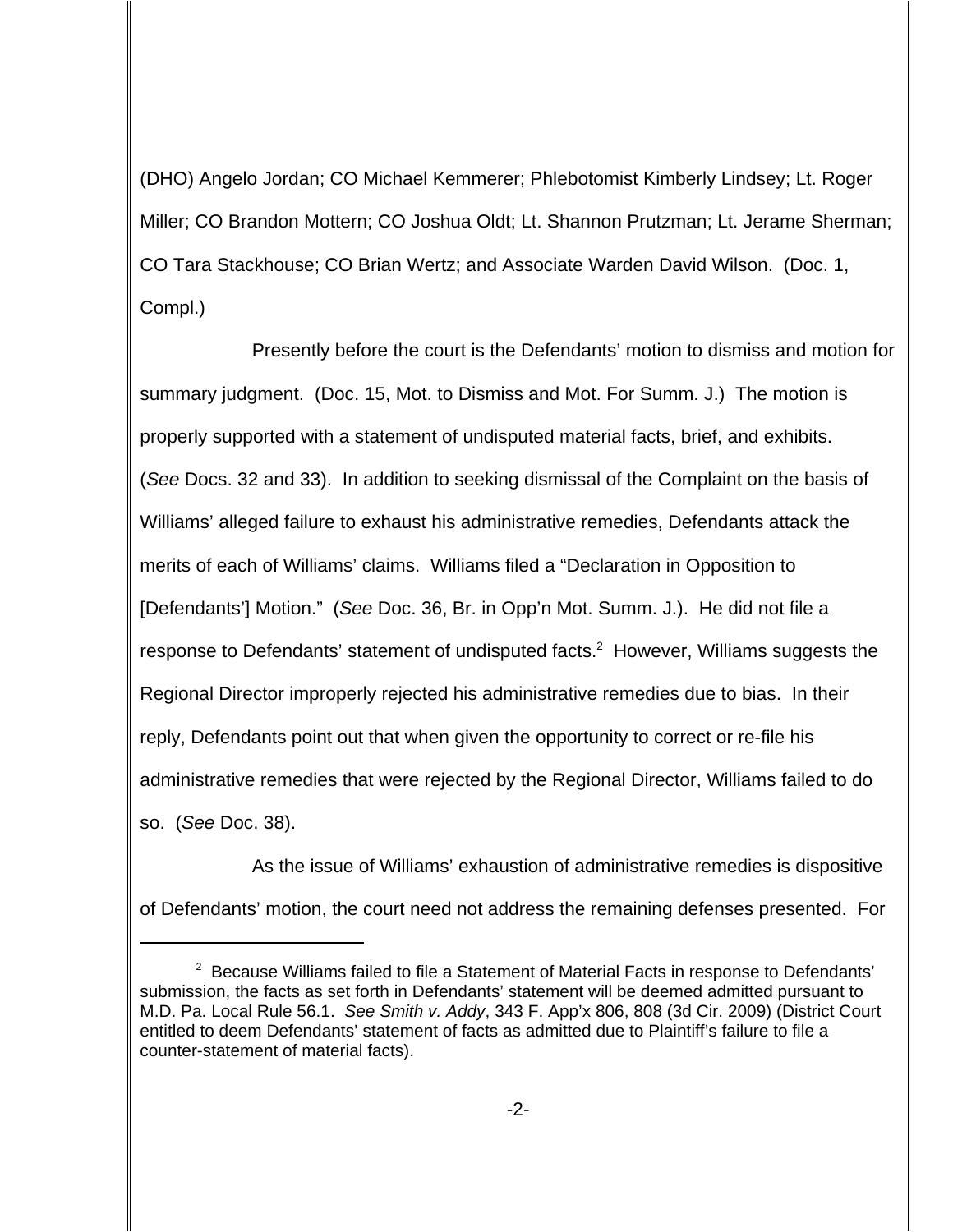(DHO) Angelo Jordan; CO Michael Kemmerer; Phlebotomist Kimberly Lindsey; Lt. Roger Miller; CO Brandon Mottern; CO Joshua Oldt; Lt. Shannon Prutzman; Lt. Jerame Sherman; CO Tara Stackhouse; CO Brian Wertz; and Associate Warden David Wilson. (Doc. 1, Compl.)

Presently before the court is the Defendants' motion to dismiss and motion for summary judgment. (Doc. 15, Mot. to Dismiss and Mot. For Summ. J.) The motion is properly supported with a statement of undisputed material facts, brief, and exhibits. (See Docs. 32 and 33). In addition to seeking dismissal of the Complaint on the basis of Williams' alleged failure to exhaust his administrative remedies, Defendants attack the merits of each of Williams' claims. Williams filed a "Declaration in Opposition to [Defendants'] Motion." (See Doc. 36, Br. in Opp'n Mot. Summ. J.). He did not file a response to Defendants' statement of undisputed facts. $2$  However, Williams suggests the Regional Director improperly rejected his administrative remedies due to bias. In their reply, Defendants point out that when given the opportunity to correct or re-file his administrative remedies that were rejected by the Regional Director, Williams failed to do so. (See Doc. 38).

As the issue of Williams' exhaustion of administrative remedies is dispositive of Defendants' motion, the court need not address the remaining defenses presented. For

<sup>&</sup>lt;sup>2</sup> Because Williams failed to file a Statement of Material Facts in response to Defendants' submission, the facts as set forth in Defendants' statement will be deemed admitted pursuant to M.D. Pa. Local Rule 56.1.See Smith v. Addy, 343 F. App'x 806, 808 (3d Cir. 2009) (District Court entitled to deem Defendants' statement of facts as admitted due to Plaintiff's failure to file a counter-statement of material facts).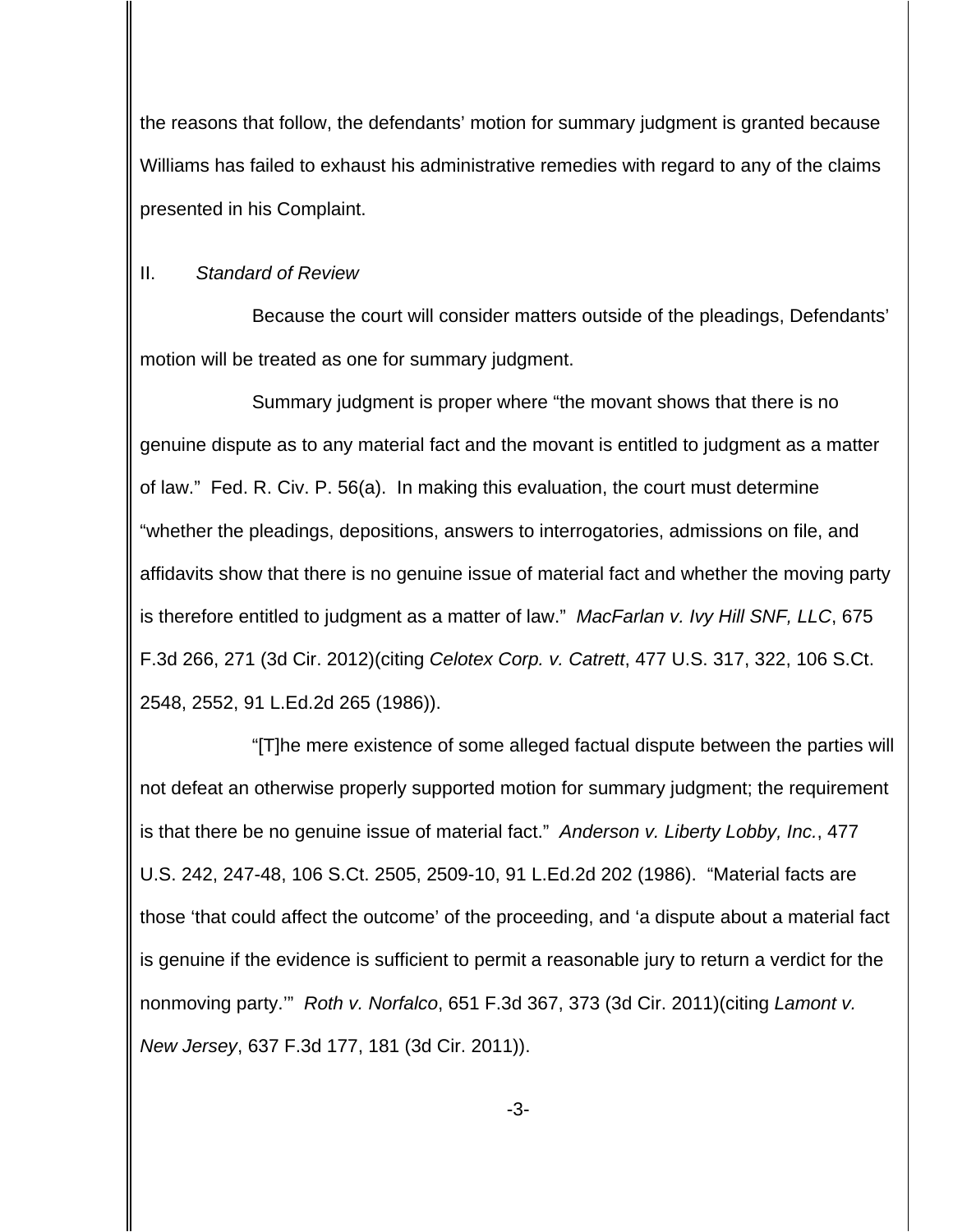the reasons that follow, the defendants' motion for summary judgment is granted because Williams has failed to exhaust his administrative remedies with regard to any of the claims presented in his Complaint.

### II. Standard of Review

Because the court will consider matters outside of the pleadings, Defendants' motion will be treated as one for summary judgment.

Summary judgment is proper where "the movant shows that there is no genuine dispute as to any material fact and the movant is entitled to judgment as a matter of law." Fed. R. Civ. P. 56(a). In making this evaluation, the court must determine "whether the pleadings, depositions, answers to interrogatories, admissions on file, and affidavits show that there is no genuine issue of material fact and whether the moving party is therefore entitled to judgment as a matter of law." MacFarlan v. Ivy Hill SNF, LLC, 675 F.3d 266, 271 (3d Cir. 2012)(citing Celotex Corp. v. Catrett, 477 U.S. 317, 322, 106 S.Ct. 2548, 2552, 91 L.Ed.2d 265 (1986)).

"[T]he mere existence of some alleged factual dispute between the parties will not defeat an otherwise properly supported motion for summary judgment; the requirement is that there be no genuine issue of material fact." Anderson v. Liberty Lobby, Inc., 477 U.S. 242, 247-48, 106 S.Ct. 2505, 2509-10, 91 L.Ed.2d 202 (1986). "Material facts are those 'that could affect the outcome' of the proceeding, and 'a dispute about a material fact is genuine if the evidence is sufficient to permit a reasonable jury to return a verdict for the nonmoving party." Roth v. Norfalco, 651 F.3d 367, 373 (3d Cir. 2011) (citing Lamont v. New Jersey, 637 F.3d 177, 181 (3d Cir. 2011)).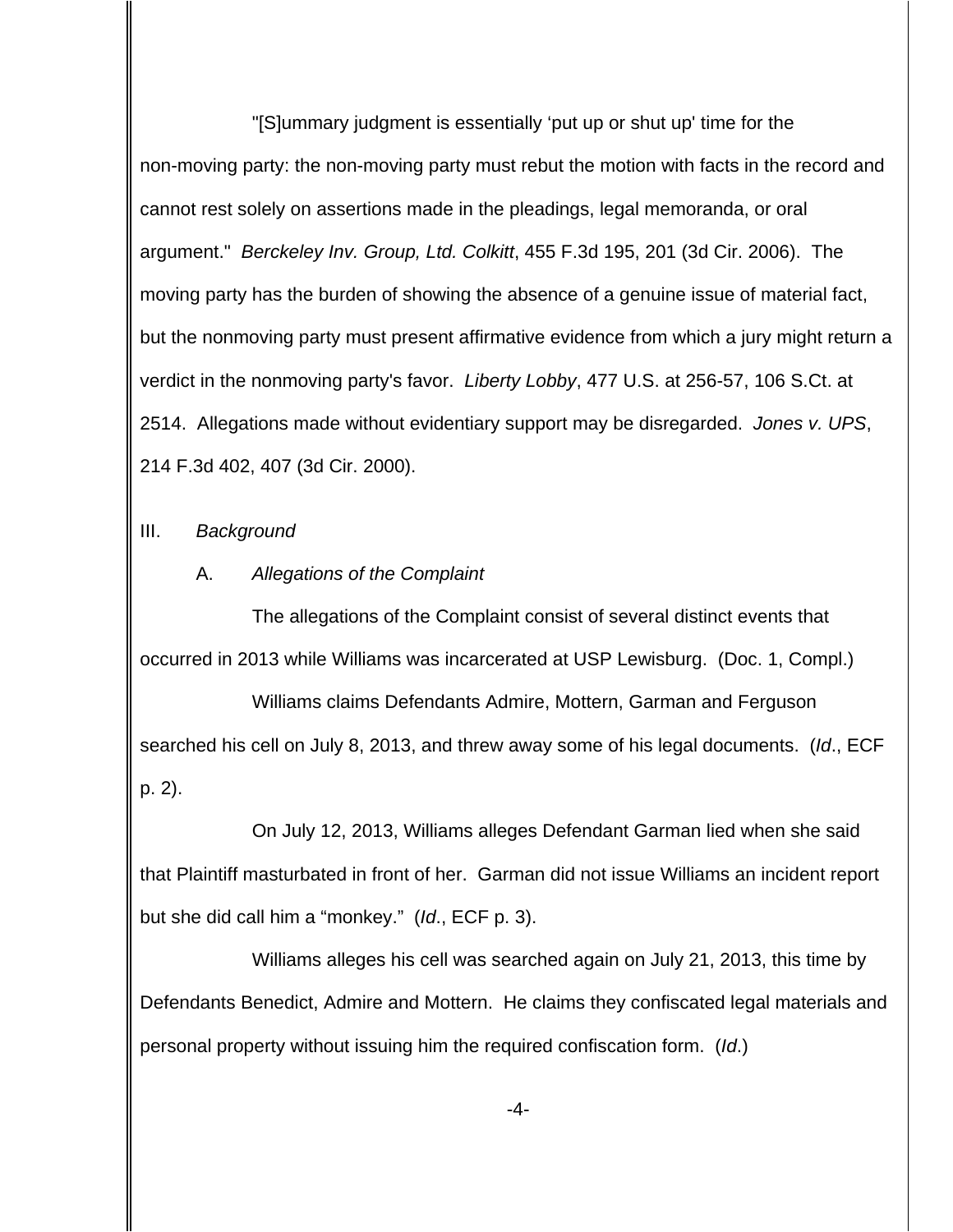"[S]ummary judgment is essentially 'put up or shut up' time for the non-moving party: the non-moving party must rebut the motion with facts in the record and cannot rest solely on assertions made in the pleadings, legal memoranda, or oral argument." Berckeley Inv. Group, Ltd. Colkitt, 455 F.3d 195, 201 (3d Cir. 2006). The moving party has the burden of showing the absence of a genuine issue of material fact, but the nonmoving party must present affirmative evidence from which a jury might return a verdict in the nonmoving party's favor. Liberty Lobby, 477 U.S. at 256-57, 106 S.Ct. at 2514. Allegations made without evidentiary support may be disregarded. Jones v. UPS, 214 F.3d 402, 407 (3d Cir. 2000).

# III. Background

# A. Allegations of the Complaint

The allegations of the Complaint consist of several distinct events that occurred in 2013 while Williams was incarcerated at USP Lewisburg. (Doc. 1, Compl.)

Williams claims Defendants Admire, Mottern, Garman and Ferguson searched his cell on July 8, 2013, and threw away some of his legal documents. (Id., ECF p. 2).

On July 12, 2013, Williams alleges Defendant Garman lied when she said that Plaintiff masturbated in front of her. Garman did not issue Williams an incident report but she did call him a "monkey." (Id., ECF p. 3).

Williams alleges his cell was searched again on July 21, 2013, this time by Defendants Benedict, Admire and Mottern. He claims they confiscated legal materials and personal property without issuing him the required confiscation form. (Id.)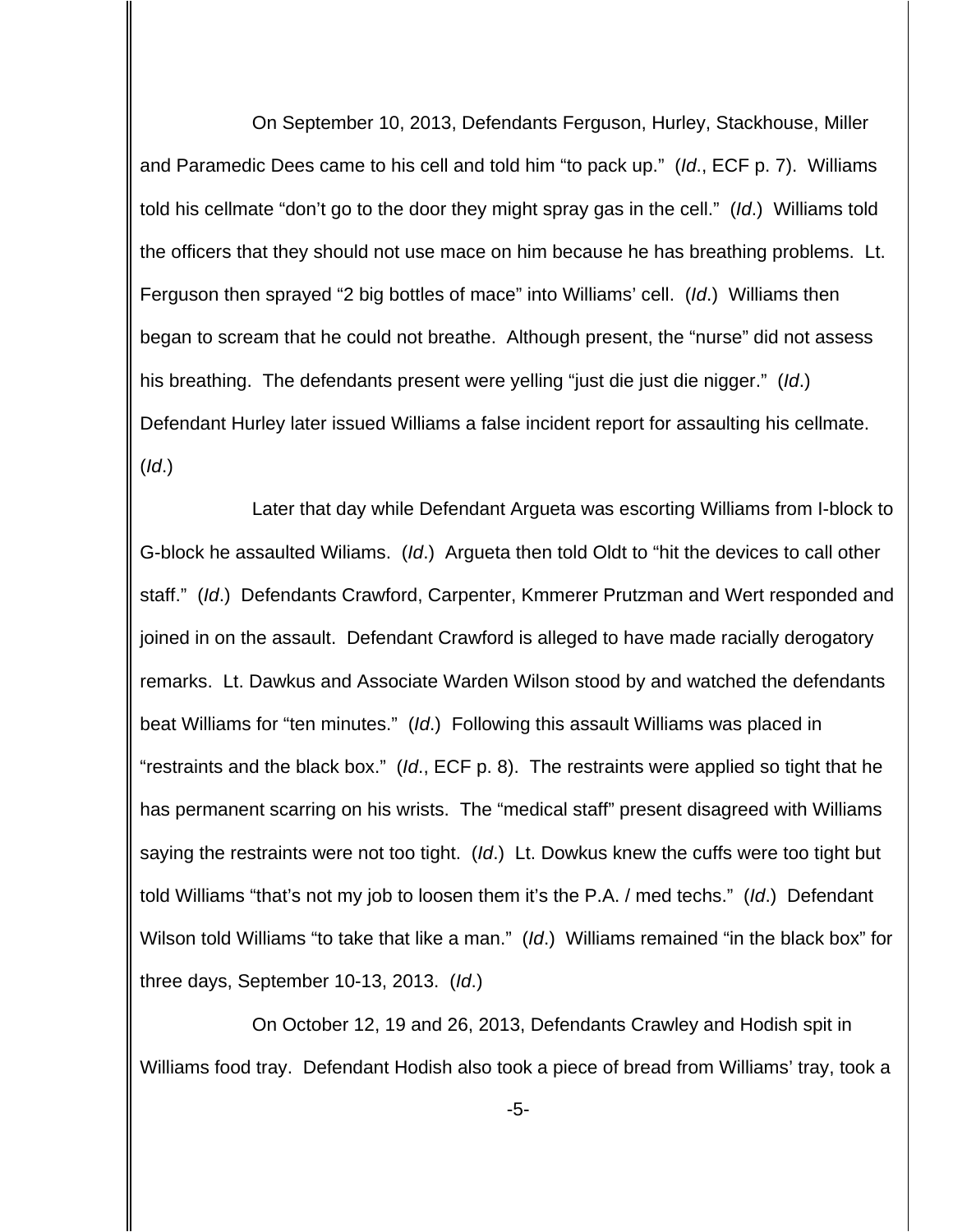On September 10, 2013, Defendants Ferguson, Hurley, Stackhouse, Miller and Paramedic Dees came to his cell and told him "to pack up." (Id., ECF p. 7). Williams told his cellmate "don't go to the door they might spray gas in the cell." (Id.) Williams told the officers that they should not use mace on him because he has breathing problems. Lt. Ferguson then sprayed "2 big bottles of mace" into Williams' cell. (Id.) Williams then began to scream that he could not breathe. Although present, the "nurse" did not assess his breathing. The defendants present were yelling "just die just die nigger." (Id.) Defendant Hurley later issued Williams a false incident report for assaulting his cellmate.  $(Id.)$ 

Later that day while Defendant Argueta was escorting Williams from I-block to G-block he assaulted Wiliams. (Id.) Argueta then told Oldt to "hit the devices to call other staff." (Id.) Defendants Crawford, Carpenter, Kmmerer Prutzman and Wert responded and joined in on the assault. Defendant Crawford is alleged to have made racially derogatory remarks. Lt. Dawkus and Associate Warden Wilson stood by and watched the defendants beat Williams for "ten minutes." (Id.) Following this assault Williams was placed in "restraints and the black box."  $(id, ECF p. 8)$ . The restraints were applied so tight that he has permanent scarring on his wrists. The "medical staff" present disagreed with Williams saying the restraints were not too tight. (Id.) Lt. Dowkus knew the cuffs were too tight but told Williams "that's not my job to loosen them it's the P.A. / med techs." (Id.) Defendant Wilson told Williams "to take that like a man." (Id.) Williams remained "in the black box" for three days, September 10-13, 2013. (Id.)

On October 12, 19 and 26, 2013, Defendants Crawley and Hodish spit in Williams food tray. Defendant Hodish also took a piece of bread from Williams' tray, took a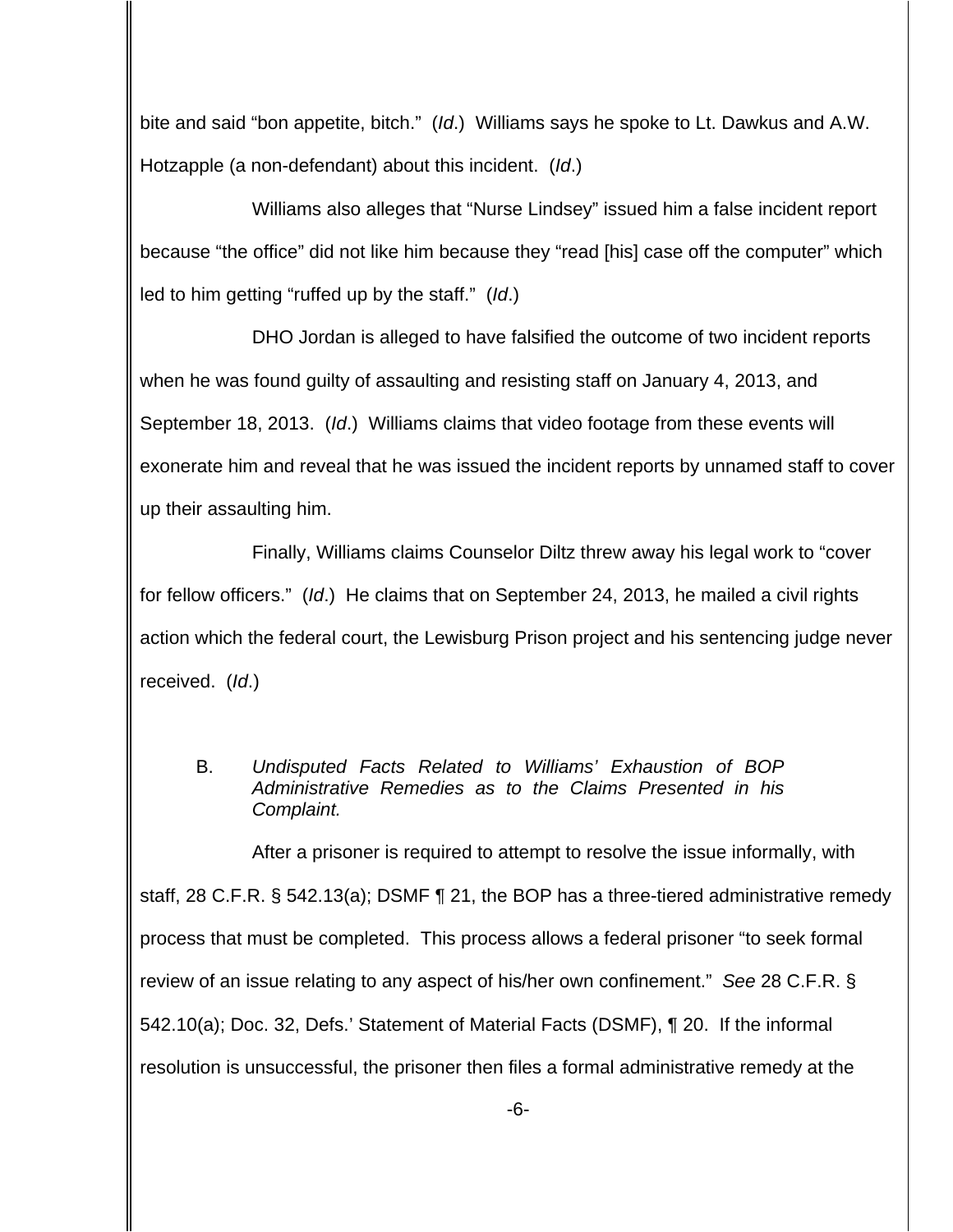bite and said "bon appetite, bitch." (Id.) Williams says he spoke to Lt. Dawkus and A.W. Hotzapple (a non-defendant) about this incident. (Id.)

Williams also alleges that "Nurse Lindsey" issued him a false incident report because "the office" did not like him because they "read [his] case off the computer" which led to him getting "ruffed up by the staff." (Id.)

DHO Jordan is alleged to have falsified the outcome of two incident reports when he was found guilty of assaulting and resisting staff on January 4, 2013, and September 18, 2013. (Id.) Williams claims that video footage from these events will exonerate him and reveal that he was issued the incident reports by unnamed staff to cover up their assaulting him.

Finally, Williams claims Counselor Diltz threw away his legal work to "cover for fellow officers." (Id.) He claims that on September 24, 2013, he mailed a civil rights action which the federal court, the Lewisburg Prison project and his sentencing judge never received. (Id.)

B. Undisputed Facts Related to Williams' Exhaustion of BOP Administrative Remedies as to the Claims Presented in his Complaint.

After a prisoner is required to attempt to resolve the issue informally, with staff, 28 C.F.R. § 542.13(a); DSMF ¶ 21, the BOP has a three-tiered administrative remedy process that must be completed. This process allows a federal prisoner "to seek formal review of an issue relating to any aspect of his/her own confinement." See 28 C.F.R. § 542.10(a); Doc. 32, Defs.' Statement of Material Facts (DSMF), ¶ 20. If the informal resolution is unsuccessful, the prisoner then files a formal administrative remedy at the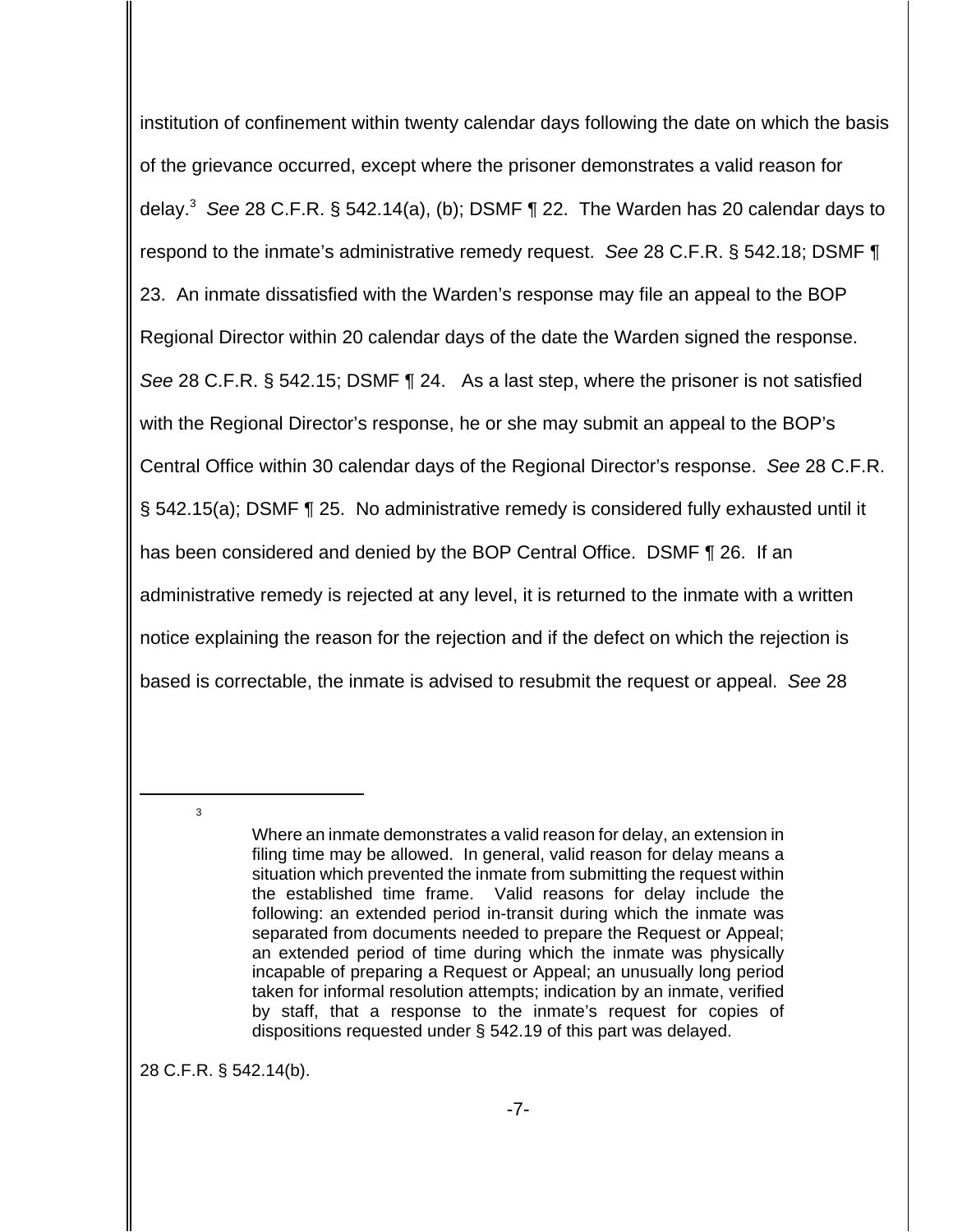institution of confinement within twenty calendar days following the date on which the basis of the grievance occurred, except where the prisoner demonstrates a valid reason for delay.<sup>3</sup> See 28 C.F.R. § 542.14(a), (b); DSMF ¶ 22. The Warden has 20 calendar days to respond to the inmate's administrative remedy request. See 28 C.F.R. § 542.18; DSMF ¶ 23. An inmate dissatisfied with the Warden's response may file an appeal to the BOP Regional Director within 20 calendar days of the date the Warden signed the response. See 28 C.F.R. § 542.15; DSMF ¶ 24. As a last step, where the prisoner is not satisfied with the Regional Director's response, he or she may submit an appeal to the BOP's Central Office within 30 calendar days of the Regional Director's response. See 28 C.F.R. § 542.15(a); DSMF ¶ 25. No administrative remedy is considered fully exhausted until it has been considered and denied by the BOP Central Office. DSMF ¶ 26. If an administrative remedy is rejected at any level, it is returned to the inmate with a written notice explaining the reason for the rejection and if the defect on which the rejection is based is correctable, the inmate is advised to resubmit the request or appeal. See 28

28 C.F.R. § 542.14(b).

3

Where an inmate demonstrates a valid reason for delay, an extension in filing time may be allowed. In general, valid reason for delay means a situation which prevented the inmate from submitting the request within the established time frame. Valid reasons for delay include the following: an extended period in-transit during which the inmate was separated from documents needed to prepare the Request or Appeal; an extended period of time during which the inmate was physically incapable of preparing a Request or Appeal; an unusually long period taken for informal resolution attempts; indication by an inmate, verified by staff, that a response to the inmate's request for copies of dispositions requested under § 542.19 of this part was delayed.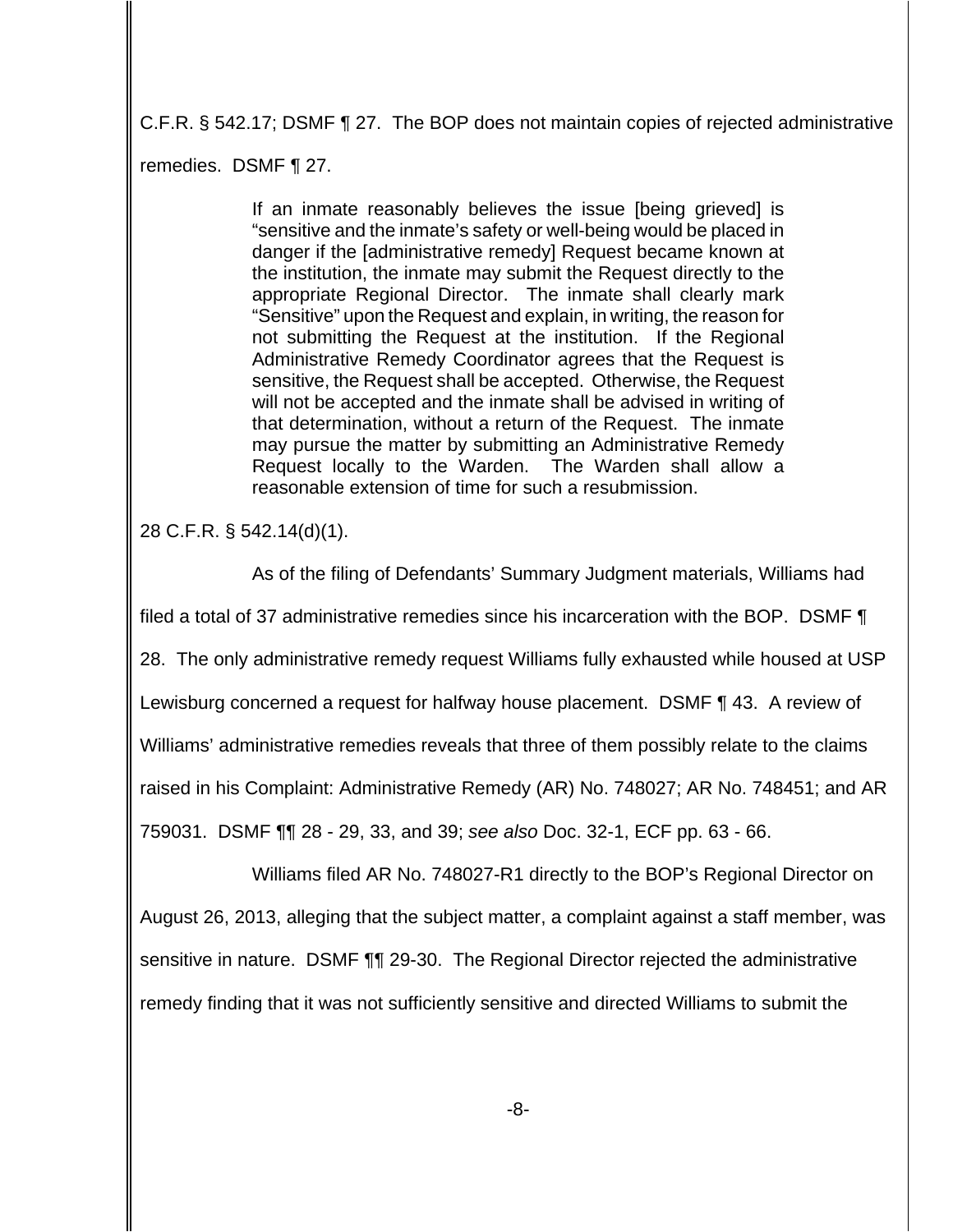C.F.R. § 542.17; DSMF ¶ 27. The BOP does not maintain copies of rejected administrative remedies. DSMF ¶ 27.

> If an inmate reasonably believes the issue [being grieved] is "sensitive and the inmate's safety or well-being would be placed in danger if the [administrative remedy] Request became known at the institution, the inmate may submit the Request directly to the appropriate Regional Director. The inmate shall clearly mark "Sensitive" upon the Request and explain, in writing, the reason for not submitting the Request at the institution. If the Regional Administrative Remedy Coordinator agrees that the Request is sensitive, the Request shall be accepted. Otherwise, the Request will not be accepted and the inmate shall be advised in writing of that determination, without a return of the Request. The inmate may pursue the matter by submitting an Administrative Remedy Request locally to the Warden. The Warden shall allow a reasonable extension of time for such a resubmission.

28 C.F.R. § 542.14(d)(1).

 As of the filing of Defendants' Summary Judgment materials, Williams had filed a total of 37 administrative remedies since his incarceration with the BOP. DSMF ¶ 28. The only administrative remedy request Williams fully exhausted while housed at USP Lewisburg concerned a request for halfway house placement. DSMF ¶ 43. A review of Williams' administrative remedies reveals that three of them possibly relate to the claims raised in his Complaint: Administrative Remedy (AR) No. 748027; AR No. 748451; and AR 759031. DSMF ¶¶ 28 - 29, 33, and 39; see also Doc. 32-1, ECF pp. 63 - 66.

Williams filed AR No. 748027-R1 directly to the BOP's Regional Director on August 26, 2013, alleging that the subject matter, a complaint against a staff member, was sensitive in nature. DSMF ¶¶ 29-30. The Regional Director rejected the administrative remedy finding that it was not sufficiently sensitive and directed Williams to submit the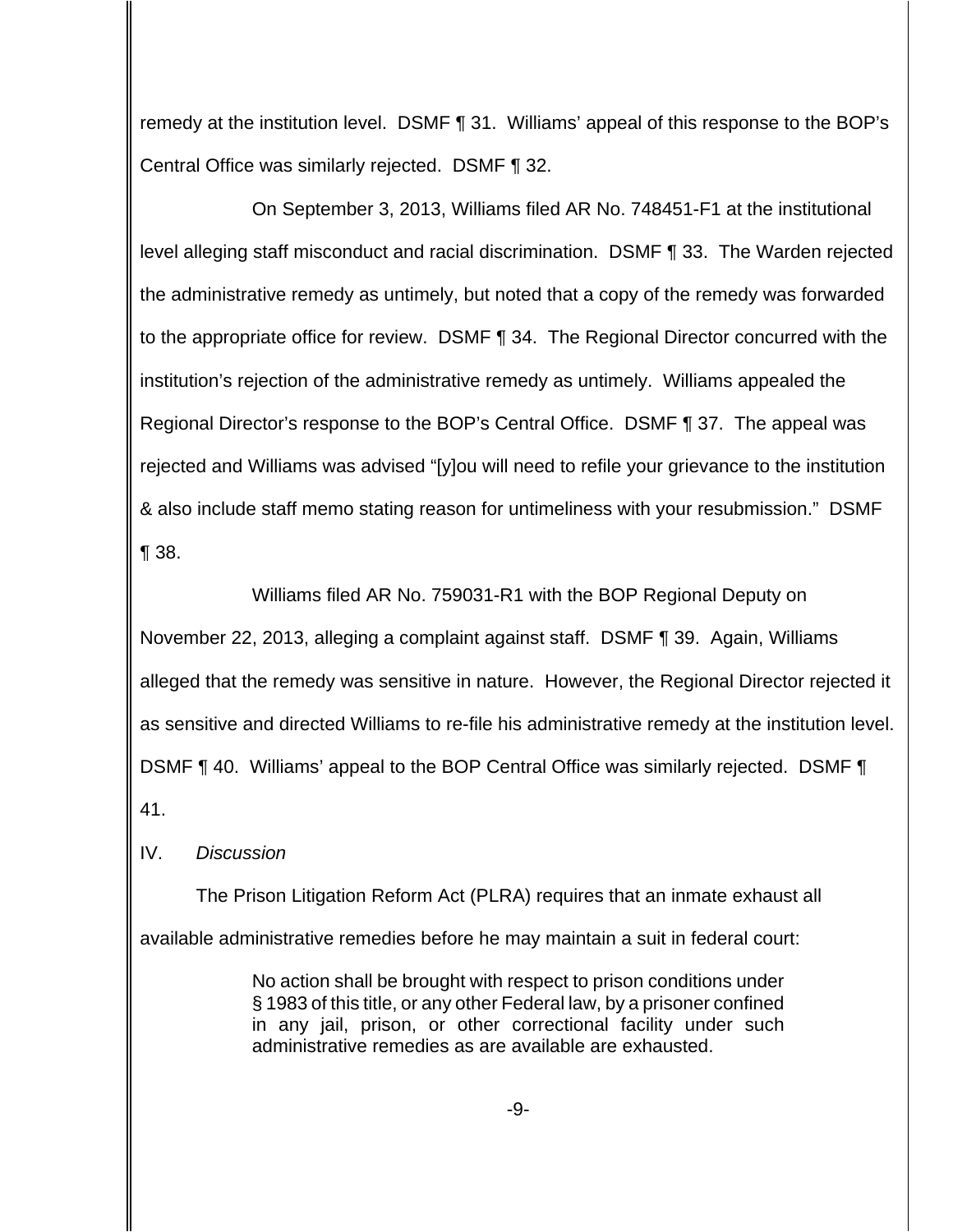remedy at the institution level. DSMF ¶ 31. Williams' appeal of this response to the BOP's Central Office was similarly rejected. DSMF ¶ 32.

On September 3, 2013, Williams filed AR No. 748451-F1 at the institutional level alleging staff misconduct and racial discrimination. DSMF ¶ 33. The Warden rejected the administrative remedy as untimely, but noted that a copy of the remedy was forwarded to the appropriate office for review. DSMF ¶ 34. The Regional Director concurred with the institution's rejection of the administrative remedy as untimely. Williams appealed the Regional Director's response to the BOP's Central Office. DSMF ¶ 37. The appeal was rejected and Williams was advised "[y]ou will need to refile your grievance to the institution & also include staff memo stating reason for untimeliness with your resubmission." DSMF ¶ 38.

Williams filed AR No. 759031-R1 with the BOP Regional Deputy on November 22, 2013, alleging a complaint against staff. DSMF ¶ 39. Again, Williams alleged that the remedy was sensitive in nature. However, the Regional Director rejected it as sensitive and directed Williams to re-file his administrative remedy at the institution level. DSMF ¶ 40. Williams' appeal to the BOP Central Office was similarly rejected. DSMF ¶ 41.

IV. Discussion

The Prison Litigation Reform Act (PLRA) requires that an inmate exhaust all available administrative remedies before he may maintain a suit in federal court:

> No action shall be brought with respect to prison conditions under § 1983 of this title, or any other Federal law, by a prisoner confined in any jail, prison, or other correctional facility under such administrative remedies as are available are exhausted.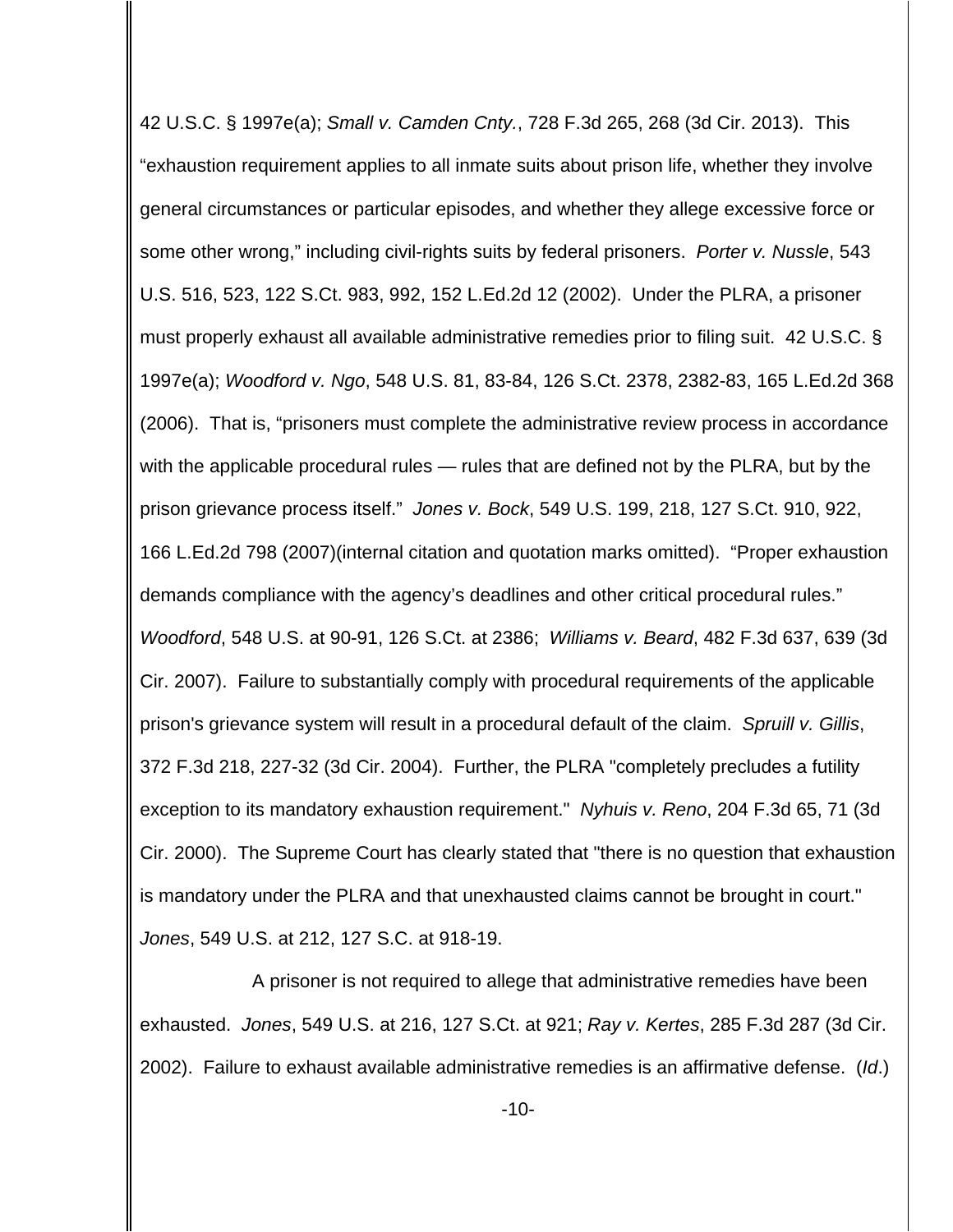42 U.S.C. § 1997e(a); Small v. Camden Cnty., 728 F.3d 265, 268 (3d Cir. 2013). This "exhaustion requirement applies to all inmate suits about prison life, whether they involve general circumstances or particular episodes, and whether they allege excessive force or some other wrong," including civil-rights suits by federal prisoners. Porter v. Nussle, 543 U.S. 516, 523, 122 S.Ct. 983, 992, 152 L.Ed.2d 12 (2002). Under the PLRA, a prisoner must properly exhaust all available administrative remedies prior to filing suit. 42 U.S.C. § 1997e(a); Woodford v. Ngo, 548 U.S. 81, 83-84, 126 S.Ct. 2378, 2382-83, 165 L.Ed.2d 368 (2006). That is, "prisoners must complete the administrative review process in accordance with the applicable procedural rules — rules that are defined not by the PLRA, but by the prison grievance process itself." Jones v. Bock, 549 U.S. 199, 218, 127 S.Ct. 910, 922, 166 L.Ed.2d 798 (2007)(internal citation and quotation marks omitted). "Proper exhaustion demands compliance with the agency's deadlines and other critical procedural rules." Woodford, 548 U.S. at 90-91, 126 S.Ct. at 2386; Williams v. Beard, 482 F.3d 637, 639 (3d Cir. 2007). Failure to substantially comply with procedural requirements of the applicable prison's grievance system will result in a procedural default of the claim. Spruill v. Gillis, 372 F.3d 218, 227-32 (3d Cir. 2004). Further, the PLRA "completely precludes a futility exception to its mandatory exhaustion requirement." Nyhuis v. Reno, 204 F.3d 65, 71 (3d Cir. 2000). The Supreme Court has clearly stated that "there is no question that exhaustion is mandatory under the PLRA and that unexhausted claims cannot be brought in court." Jones, 549 U.S. at 212, 127 S.C. at 918-19.

A prisoner is not required to allege that administrative remedies have been exhausted. Jones, 549 U.S. at 216, 127 S.Ct. at 921; Ray v. Kertes, 285 F.3d 287 (3d Cir. 2002). Failure to exhaust available administrative remedies is an affirmative defense. (Id.)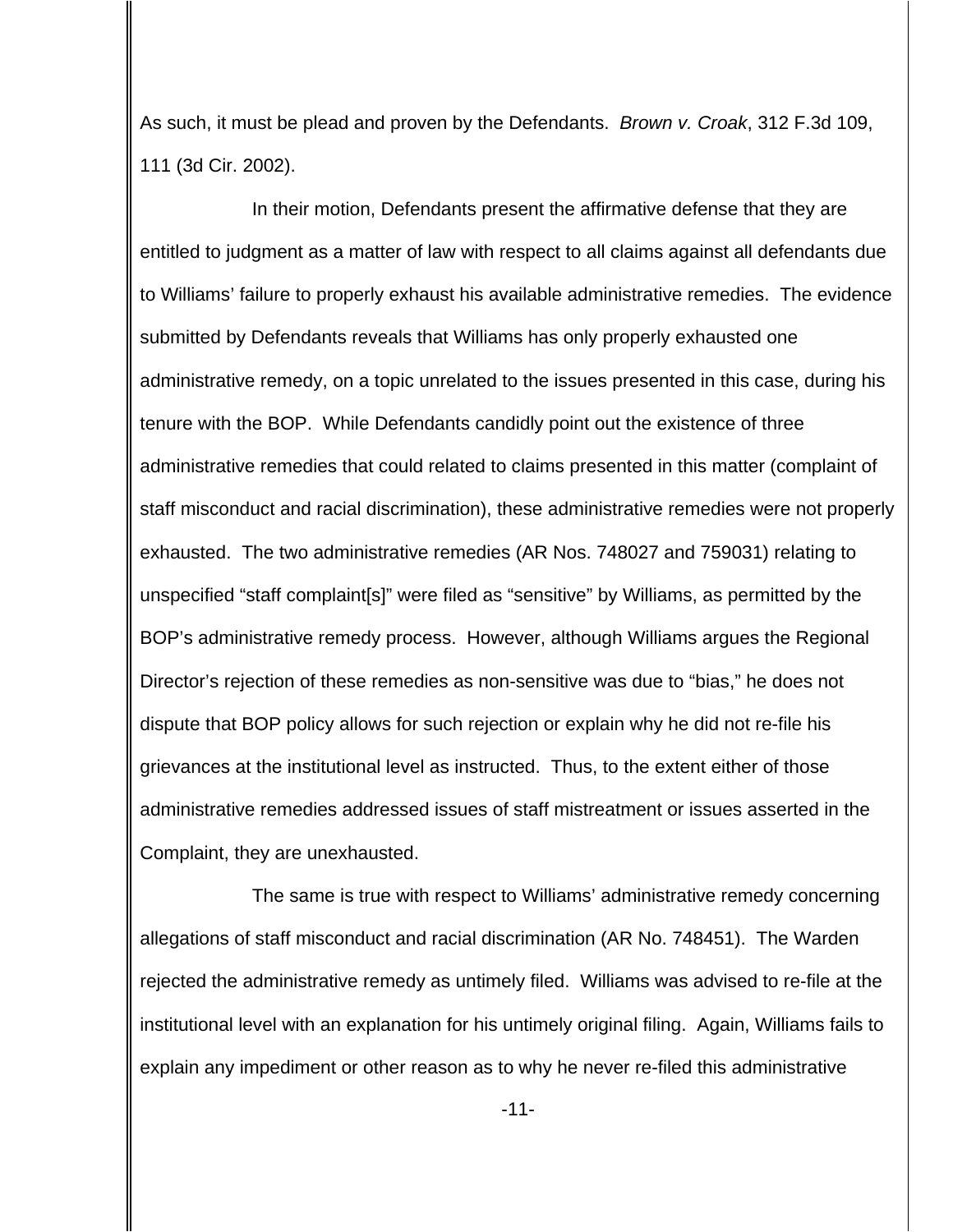As such, it must be plead and proven by the Defendants. *Brown v. Croak*, 312 F.3d 109, 111 (3d Cir. 2002).

In their motion, Defendants present the affirmative defense that they are entitled to judgment as a matter of law with respect to all claims against all defendants due to Williams' failure to properly exhaust his available administrative remedies. The evidence submitted by Defendants reveals that Williams has only properly exhausted one administrative remedy, on a topic unrelated to the issues presented in this case, during his tenure with the BOP. While Defendants candidly point out the existence of three administrative remedies that could related to claims presented in this matter (complaint of staff misconduct and racial discrimination), these administrative remedies were not properly exhausted. The two administrative remedies (AR Nos. 748027 and 759031) relating to unspecified "staff complaint[s]" were filed as "sensitive" by Williams, as permitted by the BOP's administrative remedy process. However, although Williams argues the Regional Director's rejection of these remedies as non-sensitive was due to "bias," he does not dispute that BOP policy allows for such rejection or explain why he did not re-file his grievances at the institutional level as instructed. Thus, to the extent either of those administrative remedies addressed issues of staff mistreatment or issues asserted in the Complaint, they are unexhausted.

The same is true with respect to Williams' administrative remedy concerning allegations of staff misconduct and racial discrimination (AR No. 748451). The Warden rejected the administrative remedy as untimely filed. Williams was advised to re-file at the institutional level with an explanation for his untimely original filing. Again, Williams fails to explain any impediment or other reason as to why he never re-filed this administrative